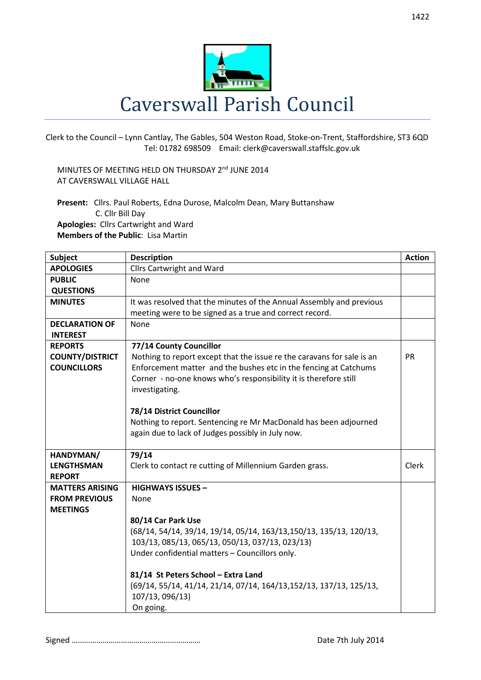

Clerk to the Council – Lynn Cantlay, The Gables, 504 Weston Road, Stoke-on-Trent, Staffordshire, ST3 6QD Tel: 01782 698509 Email: clerk@caverswall.staffslc.gov.uk

MINUTES OF MEETING HELD ON THURSDAY 2<sup>nd</sup> JUNE 2014 AT CAVERSWALL VILLAGE HALL

**Present:** Cllrs. Paul Roberts, Edna Durose, Malcolm Dean, Mary Buttanshaw C. Cllr Bill Day **Apologies:** Cllrs Cartwright and Ward **Members of the Public**: Lisa Martin

| <b>Subject</b>         | <b>Description</b>                                                     | <b>Action</b> |
|------------------------|------------------------------------------------------------------------|---------------|
| <b>APOLOGIES</b>       | <b>Cllrs Cartwright and Ward</b>                                       |               |
| <b>PUBLIC</b>          | None                                                                   |               |
| <b>QUESTIONS</b>       |                                                                        |               |
| <b>MINUTES</b>         | It was resolved that the minutes of the Annual Assembly and previous   |               |
|                        | meeting were to be signed as a true and correct record.                |               |
| <b>DECLARATION OF</b>  | None                                                                   |               |
| <b>INTEREST</b>        |                                                                        |               |
| <b>REPORTS</b>         | 77/14 County Councillor                                                |               |
| <b>COUNTY/DISTRICT</b> | Nothing to report except that the issue re the caravans for sale is an | <b>PR</b>     |
| <b>COUNCILLORS</b>     | Enforcement matter and the bushes etc in the fencing at Catchums       |               |
|                        | Corner - no-one knows who's responsibility it is therefore still       |               |
|                        | investigating.                                                         |               |
|                        |                                                                        |               |
|                        | 78/14 District Councillor                                              |               |
|                        | Nothing to report. Sentencing re Mr MacDonald has been adjourned       |               |
|                        | again due to lack of Judges possibly in July now.                      |               |
|                        |                                                                        |               |
| HANDYMAN/              | 79/14                                                                  |               |
| <b>LENGTHSMAN</b>      | Clerk to contact re cutting of Millennium Garden grass.                | Clerk         |
| <b>REPORT</b>          |                                                                        |               |
| <b>MATTERS ARISING</b> | <b>HIGHWAYS ISSUES -</b>                                               |               |
| <b>FROM PREVIOUS</b>   | None                                                                   |               |
| <b>MEETINGS</b>        |                                                                        |               |
|                        | 80/14 Car Park Use                                                     |               |
|                        | (68/14, 54/14, 39/14, 19/14, 05/14, 163/13, 150/13, 135/13, 120/13,    |               |
|                        | 103/13, 085/13, 065/13, 050/13, 037/13, 023/13)                        |               |
|                        | Under confidential matters - Councillors only.                         |               |
|                        |                                                                        |               |
|                        | 81/14 St Peters School - Extra Land                                    |               |
|                        | (69/14, 55/14, 41/14, 21/14, 07/14, 164/13,152/13, 137/13, 125/13,     |               |
|                        | 107/13, 096/13)                                                        |               |
|                        | On going.                                                              |               |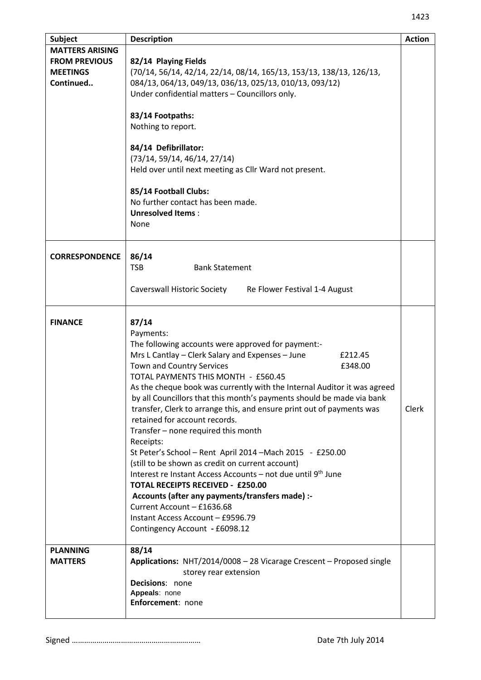| Subject                                                                        | <b>Description</b>                                                                                                                                                                                                                                                                                                                                                                                                                                                                                                                                                                                                                                                                                                                                                                                                                                                                                                             | <b>Action</b> |
|--------------------------------------------------------------------------------|--------------------------------------------------------------------------------------------------------------------------------------------------------------------------------------------------------------------------------------------------------------------------------------------------------------------------------------------------------------------------------------------------------------------------------------------------------------------------------------------------------------------------------------------------------------------------------------------------------------------------------------------------------------------------------------------------------------------------------------------------------------------------------------------------------------------------------------------------------------------------------------------------------------------------------|---------------|
| <b>MATTERS ARISING</b><br><b>FROM PREVIOUS</b><br><b>MEETINGS</b><br>Continued | 82/14 Playing Fields<br>(70/14, 56/14, 42/14, 22/14, 08/14, 165/13, 153/13, 138/13, 126/13,<br>084/13, 064/13, 049/13, 036/13, 025/13, 010/13, 093/12)<br>Under confidential matters - Councillors only.<br>83/14 Footpaths:<br>Nothing to report.<br>84/14 Defibrillator:<br>(73/14, 59/14, 46/14, 27/14)<br>Held over until next meeting as Cllr Ward not present.<br>85/14 Football Clubs:<br>No further contact has been made.<br><b>Unresolved Items:</b><br><b>None</b>                                                                                                                                                                                                                                                                                                                                                                                                                                                  |               |
| <b>CORRESPONDENCE</b>                                                          | 86/14<br><b>TSB</b><br><b>Bank Statement</b>                                                                                                                                                                                                                                                                                                                                                                                                                                                                                                                                                                                                                                                                                                                                                                                                                                                                                   |               |
|                                                                                | <b>Caverswall Historic Society</b><br>Re Flower Festival 1-4 August                                                                                                                                                                                                                                                                                                                                                                                                                                                                                                                                                                                                                                                                                                                                                                                                                                                            |               |
| <b>FINANCE</b>                                                                 | 87/14<br>Payments:<br>The following accounts were approved for payment:-<br>Mrs L Cantlay - Clerk Salary and Expenses - June<br>£212.45<br>Town and Country Services<br>£348.00<br>TOTAL PAYMENTS THIS MONTH - £560.45<br>As the cheque book was currently with the Internal Auditor it was agreed<br>by all Councillors that this month's payments should be made via bank<br>transfer, Clerk to arrange this, and ensure print out of payments was<br>retained for account records.<br>Transfer - none required this month<br>Receipts:<br>St Peter's School - Rent April 2014 - Mach 2015 - £250.00<br>(still to be shown as credit on current account)<br>Interest re Instant Access Accounts - not due until 9th June<br><b>TOTAL RECEIPTS RECEIVED - £250.00</b><br>Accounts (after any payments/transfers made) :-<br>Current Account - £1636.68<br>Instant Access Account - £9596.79<br>Contingency Account - £6098.12 | Clerk         |
| <b>PLANNING</b><br><b>MATTERS</b>                                              | 88/14<br>Applications: NHT/2014/0008 - 28 Vicarage Crescent - Proposed single<br>storey rear extension<br>Decisions: none<br>Appeals: none<br>Enforcement: none                                                                                                                                                                                                                                                                                                                                                                                                                                                                                                                                                                                                                                                                                                                                                                |               |